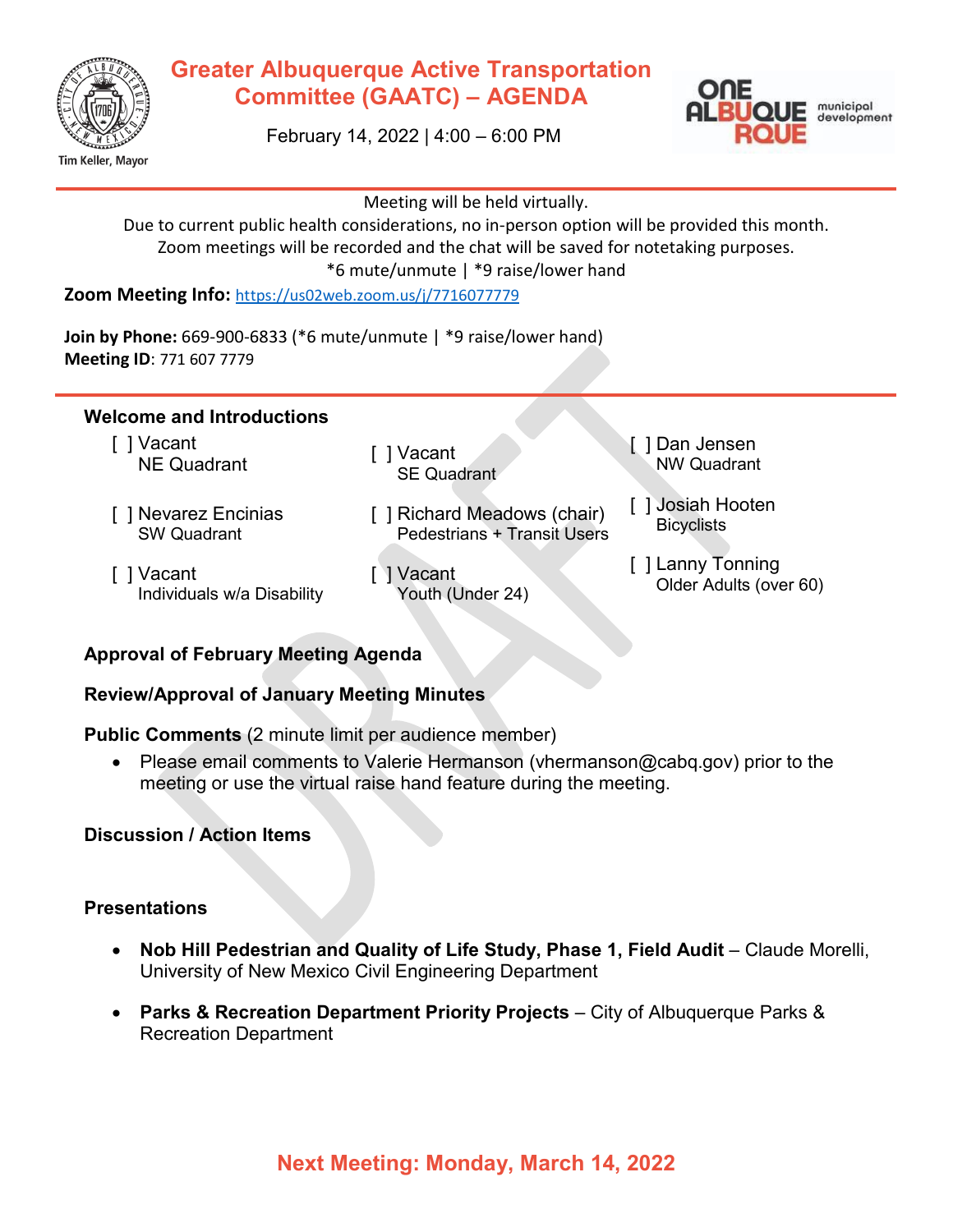

## **Greater Albuquerque Active Transportation Committee (GAATC) – AGENDA**



February 14, 2022 | 4:00 – 6:00 PM

Meeting will be held virtually.

Due to current public health considerations, no in-person option will be provided this month. Zoom meetings will be recorded and the chat will be saved for notetaking purposes. \*6 mute/unmute | \*9 raise/lower hand

**Zoom Meeting Info:** <https://us02web.zoom.us/j/7716077779>

**Join by Phone:** 669-900-6833 (\*6 mute/unmute | \*9 raise/lower hand) **Meeting ID**: 771 607 7779

#### **Welcome and Introductions**

[ ] Vacant vacant [ ] Vacant [ ] Vacant

[ ] Vacant

- [ ] Nevarez Encinias SW Quadrant
- SE Quadrant
- [ ] Richard Meadows (chair) Pedestrians + Transit Users
- Individuals w/a Disability [ ] Vacant Youth (Under 24)
- [ ] Dan Jensen NW Quadrant
- [ ] Josiah Hooten **Bicyclists**
- [ ] Lanny Tonning Older Adults (over 60)

# **Approval of February Meeting Agenda**

#### **Review/Approval of January Meeting Minutes**

**Public Comments** (2 minute limit per audience member)

• Please email comments to Valerie Hermanson (vhermanson@cabq.gov) prior to the meeting or use the virtual raise hand feature during the meeting.

#### **Discussion / Action Items**

#### **Presentations**

- **Nob Hill Pedestrian and Quality of Life Study, Phase 1, Field Audit** Claude Morelli, University of New Mexico Civil Engineering Department
- **Parks & Recreation Department Priority Projects**  City of Albuquerque Parks & Recreation Department